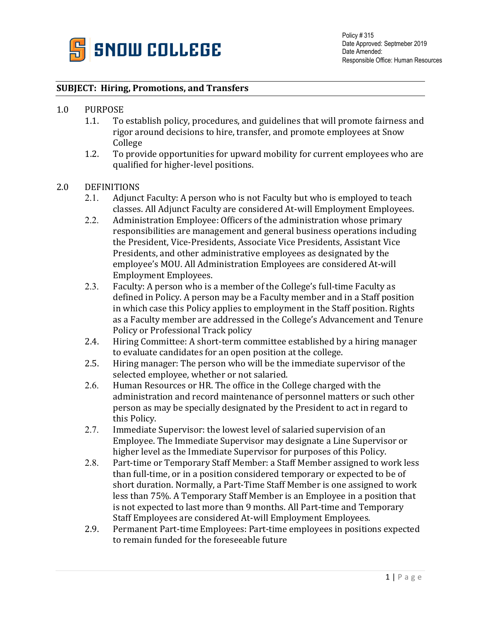

## **SUBJECT: Hiring, Promotions, and Transfers**

- 1.0 PURPOSE<br>1.1. To
	- To establish policy, procedures, and guidelines that will promote fairness and rigor around decisions to hire, transfer, and promote employees at Snow College
	- 1.2. To provide opportunities for upward mobility for current employees who are qualified for higher-level positions.

## 2.0 DEFINITIONS<br>2.1. Adiunc

- Adjunct Faculty: A person who is not Faculty but who is employed to teach classes. All Adjunct Faculty are considered At-will Employment Employees.
- 2.2. Administration Employee: Officers of the administration whose primary responsibilities are management and general business operations including the President, Vice-Presidents, Associate Vice Presidents, Assistant Vice Presidents, and other administrative employees as designated by the employee's MOU. All Administration Employees are considered At-will Employment Employees.
- 2.3. Faculty: A person who is a member of the College's full-time Faculty as defined in Policy. A person may be a Faculty member and in a Staff position in which case this Policy applies to employment in the Staff position. Rights as a Faculty member are addressed in the College's Advancement and Tenure Policy or Professional Track policy
- 2.4. Hiring Committee: A short-term committee established by a hiring manager to evaluate candidates for an open position at the college.
- 2.5. Hiring manager: The person who will be the immediate supervisor of the selected employee, whether or not salaried.
- 2.6. Human Resources or HR. The office in the College charged with the administration and record maintenance of personnel matters or such other person as may be specially designated by the President to act in regard to this Policy.
- 2.7. Immediate Supervisor: the lowest level of salaried supervision of an Employee. The Immediate Supervisor may designate a Line Supervisor or higher level as the Immediate Supervisor for purposes of this Policy.
- 2.8. Part-time or Temporary Staff Member: a Staff Member assigned to work less than full-time, or in a position considered temporary or expected to be of short duration. Normally, a Part-Time Staff Member is one assigned to work less than 75%. A Temporary Staff Member is an Employee in a position that is not expected to last more than 9 months. All Part-time and Temporary Staff Employees are considered At-will Employment Employees.
- 2.9. Permanent Part-time Employees: Part-time employees in positions expected to remain funded for the foreseeable future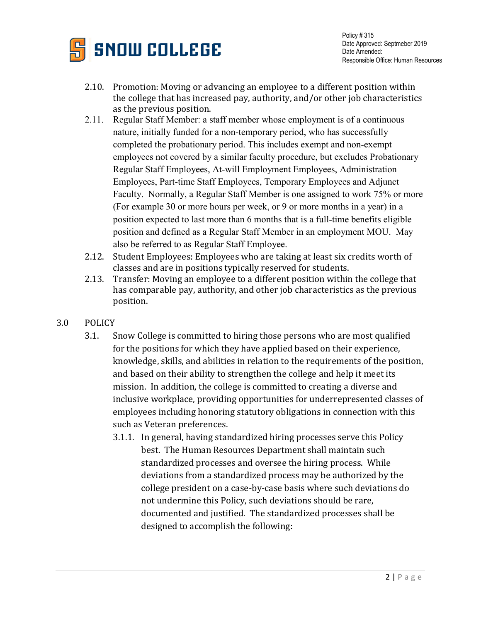

- 2.10. Promotion: Moving or advancing an employee to a different position within the college that has increased pay, authority, and/or other job characteristics as the previous position.
- 2.11. Regular Staff Member: a staff member whose employment is of a continuous nature, initially funded for a non-temporary period, who has successfully completed the probationary period. This includes exempt and non-exempt employees not covered by a similar faculty procedure, but excludes Probationary Regular Staff Employees, At-will Employment Employees, Administration Employees, Part-time Staff Employees, Temporary Employees and Adjunct Faculty. Normally, a Regular Staff Member is one assigned to work 75% or more (For example 30 or more hours per week, or 9 or more months in a year) in a position expected to last more than 6 months that is a full-time benefits eligible position and defined as a Regular Staff Member in an employment MOU. May also be referred to as Regular Staff Employee.
- 2.12. Student Employees: Employees who are taking at least six credits worth of classes and are in positions typically reserved for students.
- 2.13. Transfer: Moving an employee to a different position within the college that has comparable pay, authority, and other job characteristics as the previous position.
- 3.0 POLICY
	- 3.1. Snow College is committed to hiring those persons who are most qualified for the positions for which they have applied based on their experience, knowledge, skills, and abilities in relation to the requirements of the position, and based on their ability to strengthen the college and help it meet its mission. In addition, the college is committed to creating a diverse and inclusive workplace, providing opportunities for underrepresented classes of employees including honoring statutory obligations in connection with this such as Veteran preferences.
		- 3.1.1. In general, having standardized hiring processes serve this Policy best. The Human Resources Department shall maintain such standardized processes and oversee the hiring process. While deviations from a standardized process may be authorized by the college president on a case-by-case basis where such deviations do not undermine this Policy, such deviations should be rare, documented and justified. The standardized processes shall be designed to accomplish the following: